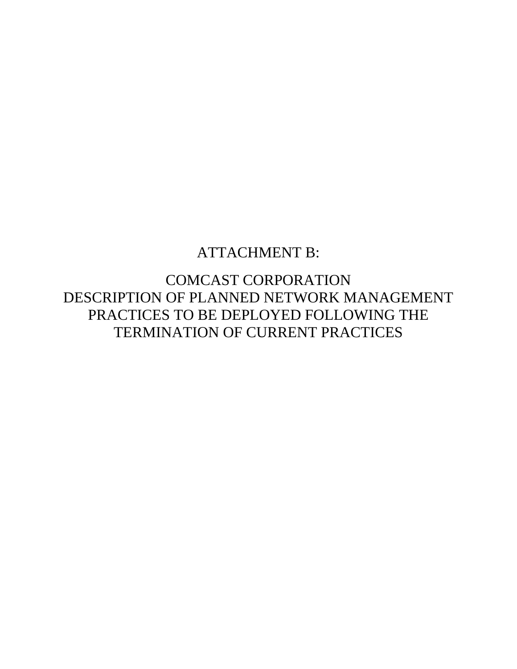# ATTACHMENT B:

COMCAST CORPORATION DESCRIPTION OF PLANNED NETWORK MANAGEMENT PRACTICES TO BE DEPLOYED FOLLOWING THE TERMINATION OF CURRENT PRACTICES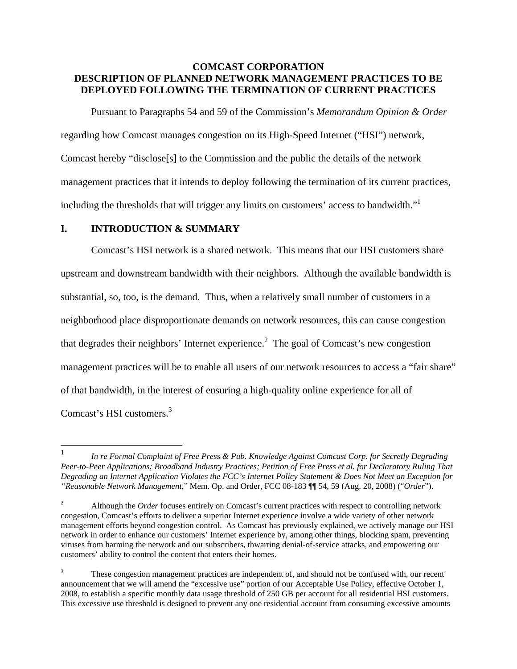## **COMCAST CORPORATION DESCRIPTION OF PLANNED NETWORK MANAGEMENT PRACTICES TO BE DEPLOYED FOLLOWING THE TERMINATION OF CURRENT PRACTICES**

Pursuant to Paragraphs 54 and 59 of the Commission's *Memorandum Opinion & Order* regarding how Comcast manages congestion on its High-Speed Internet ("HSI") network, Comcast hereby "disclose[s] to the Commission and the public the details of the network management practices that it intends to deploy following the termination of its current practices, including the thresholds that will trigger any limits on customers' access to bandwidth."<sup>1</sup>

#### **I. INTRODUCTION & SUMMARY**

Comcast's HSI network is a shared network. This means that our HSI customers share upstream and downstream bandwidth with their neighbors. Although the available bandwidth is substantial, so, too, is the demand. Thus, when a relatively small number of customers in a neighborhood place disproportionate demands on network resources, this can cause congestion that degrades their neighbors' Internet experience.<sup>2</sup> The goal of Comcast's new congestion management practices will be to enable all users of our network resources to access a "fair share" of that bandwidth, in the interest of ensuring a high-quality online experience for all of Comcast's HSI customers.3

 $\frac{1}{1}$  *In re Formal Complaint of Free Press & Pub. Knowledge Against Comcast Corp. for Secretly Degrading Peer-to-Peer Applications; Broadband Industry Practices; Petition of Free Press et al. for Declaratory Ruling That Degrading an Internet Application Violates the FCC's Internet Policy Statement & Does Not Meet an Exception for "Reasonable Network Management*," Mem. Op. and Order, FCC 08-183 ¶¶ 54, 59 (Aug. 20, 2008) ("*Order*").

<sup>2</sup> Although the *Order* focuses entirely on Comcast's current practices with respect to controlling network congestion, Comcast's efforts to deliver a superior Internet experience involve a wide variety of other network management efforts beyond congestion control. As Comcast has previously explained, we actively manage our HSI network in order to enhance our customers' Internet experience by, among other things, blocking spam, preventing viruses from harming the network and our subscribers, thwarting denial-of-service attacks, and empowering our customers' ability to control the content that enters their homes.

<sup>3</sup> These congestion management practices are independent of, and should not be confused with, our recent announcement that we will amend the "excessive use" portion of our Acceptable Use Policy, effective October 1, 2008, to establish a specific monthly data usage threshold of 250 GB per account for all residential HSI customers. This excessive use threshold is designed to prevent any one residential account from consuming excessive amounts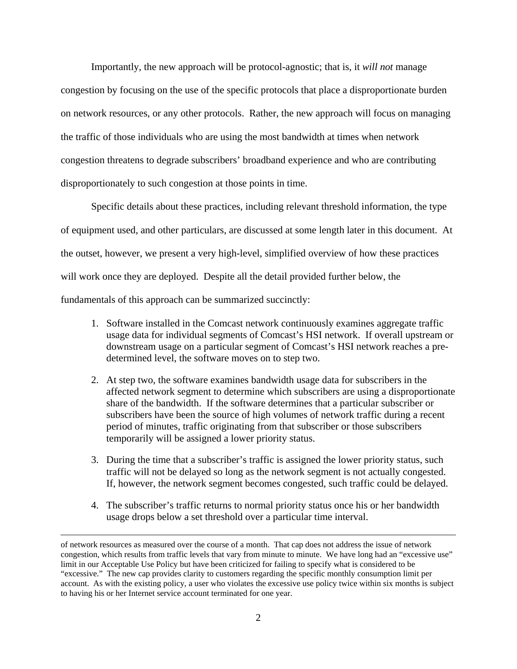Importantly, the new approach will be protocol-agnostic; that is, it *will not* manage congestion by focusing on the use of the specific protocols that place a disproportionate burden on network resources, or any other protocols. Rather, the new approach will focus on managing the traffic of those individuals who are using the most bandwidth at times when network congestion threatens to degrade subscribers' broadband experience and who are contributing disproportionately to such congestion at those points in time.

Specific details about these practices, including relevant threshold information, the type of equipment used, and other particulars, are discussed at some length later in this document. At the outset, however, we present a very high-level, simplified overview of how these practices will work once they are deployed. Despite all the detail provided further below, the fundamentals of this approach can be summarized succinctly:

- 1. Software installed in the Comcast network continuously examines aggregate traffic usage data for individual segments of Comcast's HSI network. If overall upstream or downstream usage on a particular segment of Comcast's HSI network reaches a predetermined level, the software moves on to step two.
- 2. At step two, the software examines bandwidth usage data for subscribers in the affected network segment to determine which subscribers are using a disproportionate share of the bandwidth. If the software determines that a particular subscriber or subscribers have been the source of high volumes of network traffic during a recent period of minutes, traffic originating from that subscriber or those subscribers temporarily will be assigned a lower priority status.
- 3. During the time that a subscriber's traffic is assigned the lower priority status, such traffic will not be delayed so long as the network segment is not actually congested. If, however, the network segment becomes congested, such traffic could be delayed.
- 4. The subscriber's traffic returns to normal priority status once his or her bandwidth usage drops below a set threshold over a particular time interval.

of network resources as measured over the course of a month. That cap does not address the issue of network congestion, which results from traffic levels that vary from minute to minute. We have long had an "excessive use" limit in our Acceptable Use Policy but have been criticized for failing to specify what is considered to be "excessive." The new cap provides clarity to customers regarding the specific monthly consumption limit per account. As with the existing policy, a user who violates the excessive use policy twice within six months is subject to having his or her Internet service account terminated for one year.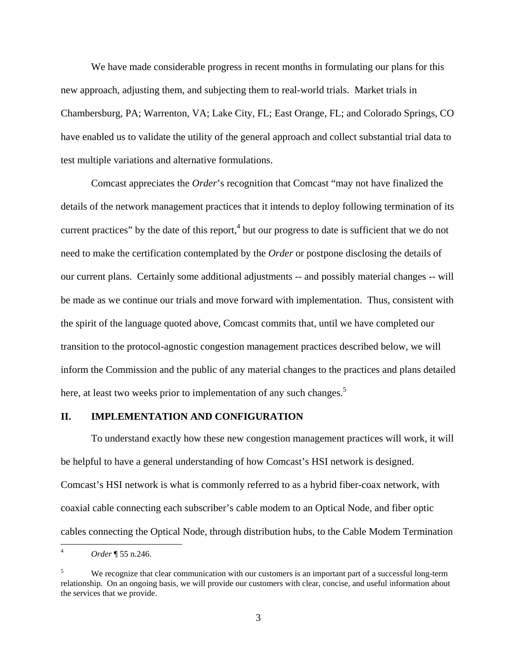We have made considerable progress in recent months in formulating our plans for this new approach, adjusting them, and subjecting them to real-world trials. Market trials in Chambersburg, PA; Warrenton, VA; Lake City, FL; East Orange, FL; and Colorado Springs, CO have enabled us to validate the utility of the general approach and collect substantial trial data to test multiple variations and alternative formulations.

Comcast appreciates the *Order*'s recognition that Comcast "may not have finalized the details of the network management practices that it intends to deploy following termination of its current practices" by the date of this report,  $4$  but our progress to date is sufficient that we do not need to make the certification contemplated by the *Order* or postpone disclosing the details of our current plans. Certainly some additional adjustments -- and possibly material changes -- will be made as we continue our trials and move forward with implementation. Thus, consistent with the spirit of the language quoted above, Comcast commits that, until we have completed our transition to the protocol-agnostic congestion management practices described below, we will inform the Commission and the public of any material changes to the practices and plans detailed here, at least two weeks prior to implementation of any such changes.<sup>5</sup>

#### **II. IMPLEMENTATION AND CONFIGURATION**

To understand exactly how these new congestion management practices will work, it will be helpful to have a general understanding of how Comcast's HSI network is designed. Comcast's HSI network is what is commonly referred to as a hybrid fiber-coax network, with coaxial cable connecting each subscriber's cable modem to an Optical Node, and fiber optic cables connecting the Optical Node, through distribution hubs, to the Cable Modem Termination

 $\overline{a}$ 

<sup>4</sup> *Order* ¶ 55 n.246.

<sup>5</sup> We recognize that clear communication with our customers is an important part of a successful long-term relationship. On an ongoing basis, we will provide our customers with clear, concise, and useful information about the services that we provide.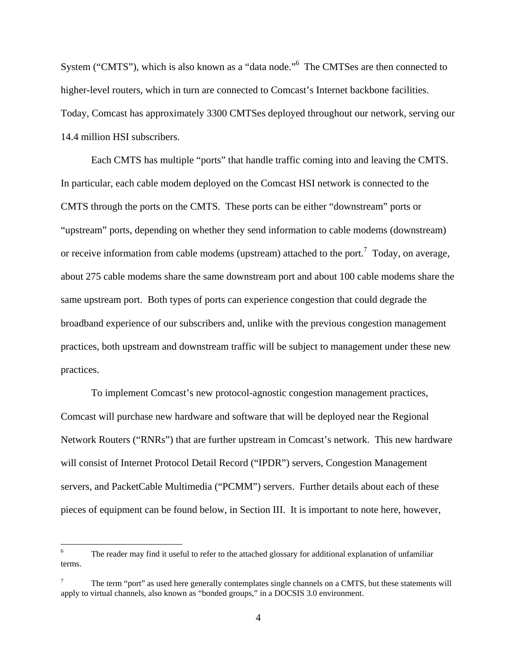System ("CMTS"), which is also known as a "data node."<sup>6</sup> The CMTSes are then connected to higher-level routers, which in turn are connected to Comcast's Internet backbone facilities. Today, Comcast has approximately 3300 CMTSes deployed throughout our network, serving our 14.4 million HSI subscribers.

Each CMTS has multiple "ports" that handle traffic coming into and leaving the CMTS. In particular, each cable modem deployed on the Comcast HSI network is connected to the CMTS through the ports on the CMTS. These ports can be either "downstream" ports or "upstream" ports, depending on whether they send information to cable modems (downstream) or receive information from cable modems (upstream) attached to the port.<sup>7</sup> Today, on average, about 275 cable modems share the same downstream port and about 100 cable modems share the same upstream port. Both types of ports can experience congestion that could degrade the broadband experience of our subscribers and, unlike with the previous congestion management practices, both upstream and downstream traffic will be subject to management under these new practices.

To implement Comcast's new protocol-agnostic congestion management practices, Comcast will purchase new hardware and software that will be deployed near the Regional Network Routers ("RNRs") that are further upstream in Comcast's network. This new hardware will consist of Internet Protocol Detail Record ("IPDR") servers, Congestion Management servers, and PacketCable Multimedia ("PCMM") servers. Further details about each of these pieces of equipment can be found below, in Section III. It is important to note here, however,

<u>.</u>

<sup>6</sup> The reader may find it useful to refer to the attached glossary for additional explanation of unfamiliar terms.

<sup>7</sup> The term "port" as used here generally contemplates single channels on a CMTS, but these statements will apply to virtual channels, also known as "bonded groups," in a DOCSIS 3.0 environment.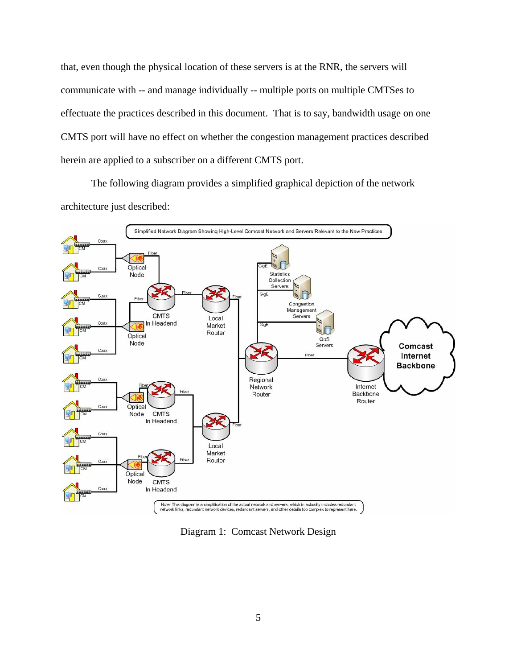that, even though the physical location of these servers is at the RNR, the servers will communicate with -- and manage individually -- multiple ports on multiple CMTSes to effectuate the practices described in this document. That is to say, bandwidth usage on one CMTS port will have no effect on whether the congestion management practices described herein are applied to a subscriber on a different CMTS port.

The following diagram provides a simplified graphical depiction of the network architecture just described:



Diagram 1: Comcast Network Design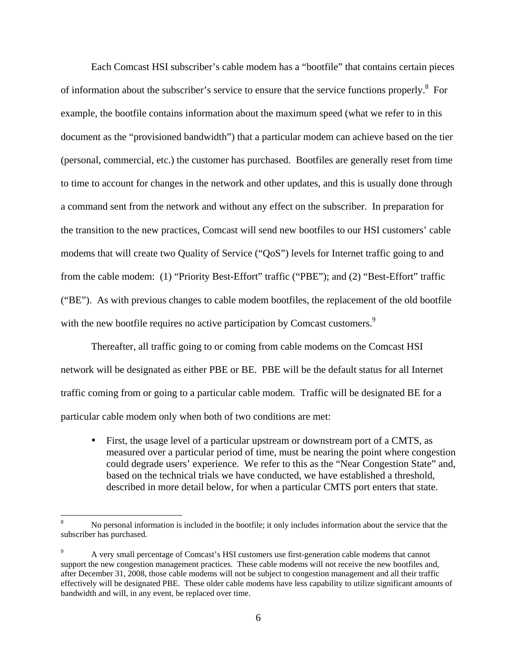Each Comcast HSI subscriber's cable modem has a "bootfile" that contains certain pieces of information about the subscriber's service to ensure that the service functions properly.<sup>8</sup> For example, the bootfile contains information about the maximum speed (what we refer to in this document as the "provisioned bandwidth") that a particular modem can achieve based on the tier (personal, commercial, etc.) the customer has purchased. Bootfiles are generally reset from time to time to account for changes in the network and other updates, and this is usually done through a command sent from the network and without any effect on the subscriber. In preparation for the transition to the new practices, Comcast will send new bootfiles to our HSI customers' cable modems that will create two Quality of Service ("QoS") levels for Internet traffic going to and from the cable modem: (1) "Priority Best-Effort" traffic ("PBE"); and (2) "Best-Effort" traffic ("BE"). As with previous changes to cable modem bootfiles, the replacement of the old bootfile with the new bootfile requires no active participation by Comcast customers.<sup>9</sup>

Thereafter, all traffic going to or coming from cable modems on the Comcast HSI network will be designated as either PBE or BE. PBE will be the default status for all Internet traffic coming from or going to a particular cable modem. Traffic will be designated BE for a particular cable modem only when both of two conditions are met:

• First, the usage level of a particular upstream or downstream port of a CMTS, as measured over a particular period of time, must be nearing the point where congestion could degrade users' experience. We refer to this as the "Near Congestion State" and, based on the technical trials we have conducted, we have established a threshold, described in more detail below, for when a particular CMTS port enters that state.

 $\overline{a}$ 

<sup>8</sup> No personal information is included in the bootfile; it only includes information about the service that the subscriber has purchased.

<sup>9</sup> A very small percentage of Comcast's HSI customers use first-generation cable modems that cannot support the new congestion management practices. These cable modems will not receive the new bootfiles and, after December 31, 2008, those cable modems will not be subject to congestion management and all their traffic effectively will be designated PBE. These older cable modems have less capability to utilize significant amounts of bandwidth and will, in any event, be replaced over time.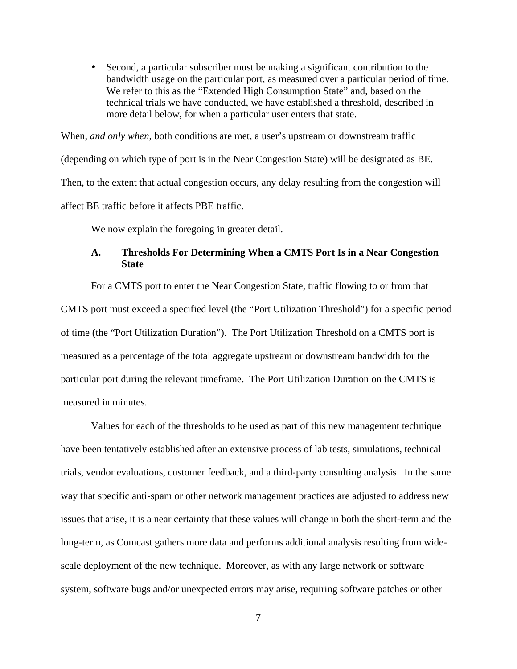• Second, a particular subscriber must be making a significant contribution to the bandwidth usage on the particular port, as measured over a particular period of time. We refer to this as the "Extended High Consumption State" and, based on the technical trials we have conducted, we have established a threshold, described in more detail below, for when a particular user enters that state.

When, *and only when*, both conditions are met, a user's upstream or downstream traffic (depending on which type of port is in the Near Congestion State) will be designated as BE. Then, to the extent that actual congestion occurs, any delay resulting from the congestion will affect BE traffic before it affects PBE traffic.

We now explain the foregoing in greater detail.

#### **A. Thresholds For Determining When a CMTS Port Is in a Near Congestion State**

For a CMTS port to enter the Near Congestion State, traffic flowing to or from that CMTS port must exceed a specified level (the "Port Utilization Threshold") for a specific period of time (the "Port Utilization Duration"). The Port Utilization Threshold on a CMTS port is measured as a percentage of the total aggregate upstream or downstream bandwidth for the particular port during the relevant timeframe. The Port Utilization Duration on the CMTS is measured in minutes.

Values for each of the thresholds to be used as part of this new management technique have been tentatively established after an extensive process of lab tests, simulations, technical trials, vendor evaluations, customer feedback, and a third-party consulting analysis. In the same way that specific anti-spam or other network management practices are adjusted to address new issues that arise, it is a near certainty that these values will change in both the short-term and the long-term, as Comcast gathers more data and performs additional analysis resulting from widescale deployment of the new technique. Moreover, as with any large network or software system, software bugs and/or unexpected errors may arise, requiring software patches or other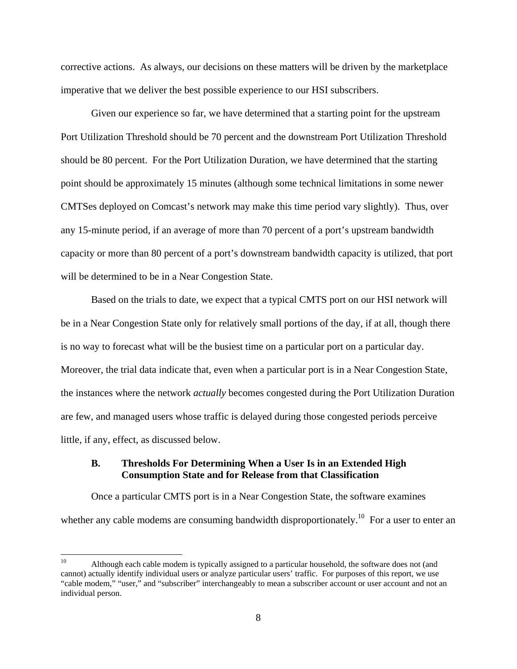corrective actions. As always, our decisions on these matters will be driven by the marketplace imperative that we deliver the best possible experience to our HSI subscribers.

Given our experience so far, we have determined that a starting point for the upstream Port Utilization Threshold should be 70 percent and the downstream Port Utilization Threshold should be 80 percent. For the Port Utilization Duration, we have determined that the starting point should be approximately 15 minutes (although some technical limitations in some newer CMTSes deployed on Comcast's network may make this time period vary slightly). Thus, over any 15-minute period, if an average of more than 70 percent of a port's upstream bandwidth capacity or more than 80 percent of a port's downstream bandwidth capacity is utilized, that port will be determined to be in a Near Congestion State.

Based on the trials to date, we expect that a typical CMTS port on our HSI network will be in a Near Congestion State only for relatively small portions of the day, if at all, though there is no way to forecast what will be the busiest time on a particular port on a particular day. Moreover, the trial data indicate that, even when a particular port is in a Near Congestion State, the instances where the network *actually* becomes congested during the Port Utilization Duration are few, and managed users whose traffic is delayed during those congested periods perceive little, if any, effect, as discussed below.

#### **B. Thresholds For Determining When a User Is in an Extended High Consumption State and for Release from that Classification**

Once a particular CMTS port is in a Near Congestion State, the software examines whether any cable modems are consuming bandwidth disproportionately.<sup>10</sup> For a user to enter an

 $10<sup>10</sup>$ Although each cable modem is typically assigned to a particular household, the software does not (and cannot) actually identify individual users or analyze particular users' traffic. For purposes of this report, we use "cable modem," "user," and "subscriber" interchangeably to mean a subscriber account or user account and not an individual person.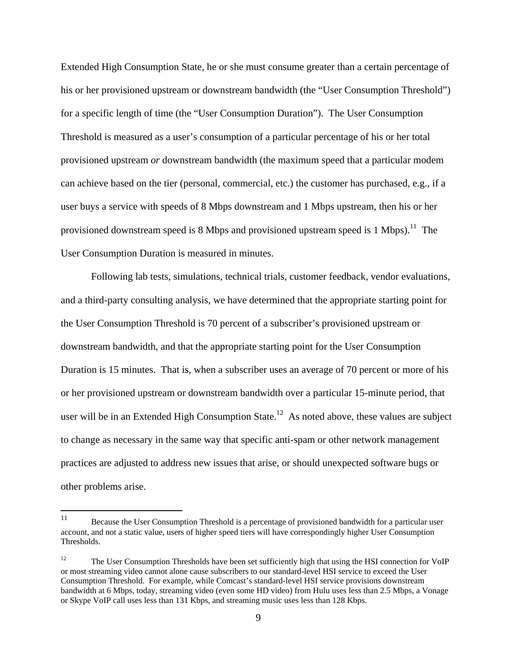Extended High Consumption State, he or she must consume greater than a certain percentage of his or her provisioned upstream or downstream bandwidth (the "User Consumption Threshold") for a specific length of time (the "User Consumption Duration"). The User Consumption Threshold is measured as a user's consumption of a particular percentage of his or her total provisioned upstream *or* downstream bandwidth (the maximum speed that a particular modem can achieve based on the tier (personal, commercial, etc.) the customer has purchased, e.g., if a user buys a service with speeds of 8 Mbps downstream and 1 Mbps upstream, then his or her provisioned downstream speed is 8 Mbps and provisioned upstream speed is 1 Mbps).<sup>11</sup> The User Consumption Duration is measured in minutes.

Following lab tests, simulations, technical trials, customer feedback, vendor evaluations, and a third-party consulting analysis, we have determined that the appropriate starting point for the User Consumption Threshold is 70 percent of a subscriber's provisioned upstream or downstream bandwidth, and that the appropriate starting point for the User Consumption Duration is 15 minutes. That is, when a subscriber uses an average of 70 percent or more of his or her provisioned upstream or downstream bandwidth over a particular 15-minute period, that user will be in an Extended High Consumption State.<sup>12</sup> As noted above, these values are subject to change as necessary in the same way that specific anti-spam or other network management practices are adjusted to address new issues that arise, or should unexpected software bugs or other problems arise.

<sup>11</sup> 11 Because the User Consumption Threshold is a percentage of provisioned bandwidth for a particular user account, and not a static value, users of higher speed tiers will have correspondingly higher User Consumption Thresholds.

<sup>&</sup>lt;sup>12</sup> The User Consumption Thresholds have been set sufficiently high that using the HSI connection for VoIP or most streaming video cannot alone cause subscribers to our standard-level HSI service to exceed the User Consumption Threshold. For example, while Comcast's standard-level HSI service provisions downstream bandwidth at 6 Mbps, today, streaming video (even some HD video) from Hulu uses less than 2.5 Mbps, a Vonage or Skype VoIP call uses less than 131 Kbps, and streaming music uses less than 128 Kbps.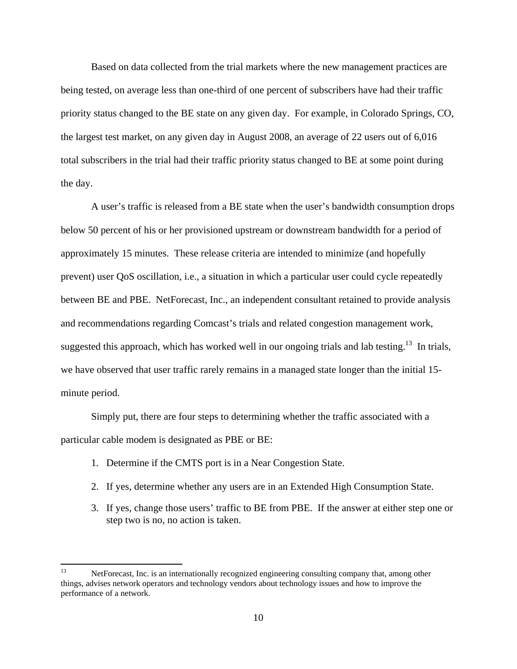Based on data collected from the trial markets where the new management practices are being tested, on average less than one-third of one percent of subscribers have had their traffic priority status changed to the BE state on any given day. For example, in Colorado Springs, CO, the largest test market, on any given day in August 2008, an average of 22 users out of 6,016 total subscribers in the trial had their traffic priority status changed to BE at some point during the day.

A user's traffic is released from a BE state when the user's bandwidth consumption drops below 50 percent of his or her provisioned upstream or downstream bandwidth for a period of approximately 15 minutes. These release criteria are intended to minimize (and hopefully prevent) user QoS oscillation, i.e., a situation in which a particular user could cycle repeatedly between BE and PBE. NetForecast, Inc., an independent consultant retained to provide analysis and recommendations regarding Comcast's trials and related congestion management work, suggested this approach, which has worked well in our ongoing trials and lab testing.<sup>13</sup> In trials, we have observed that user traffic rarely remains in a managed state longer than the initial 15 minute period.

Simply put, there are four steps to determining whether the traffic associated with a particular cable modem is designated as PBE or BE:

- 1. Determine if the CMTS port is in a Near Congestion State.
- 2. If yes, determine whether any users are in an Extended High Consumption State.
- 3. If yes, change those users' traffic to BE from PBE. If the answer at either step one or step two is no, no action is taken.

<sup>13</sup> NetForecast, Inc. is an internationally recognized engineering consulting company that, among other things, advises network operators and technology vendors about technology issues and how to improve the performance of a network.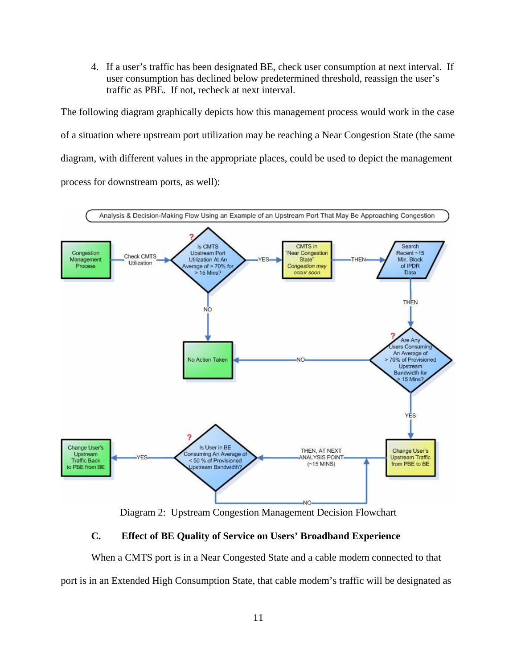4. If a user's traffic has been designated BE, check user consumption at next interval. If user consumption has declined below predetermined threshold, reassign the user's traffic as PBE. If not, recheck at next interval.

The following diagram graphically depicts how this management process would work in the case of a situation where upstream port utilization may be reaching a Near Congestion State (the same diagram, with different values in the appropriate places, could be used to depict the management process for downstream ports, as well):



Diagram 2: Upstream Congestion Management Decision Flowchart

## **C. Effect of BE Quality of Service on Users' Broadband Experience**

When a CMTS port is in a Near Congested State and a cable modem connected to that port is in an Extended High Consumption State, that cable modem's traffic will be designated as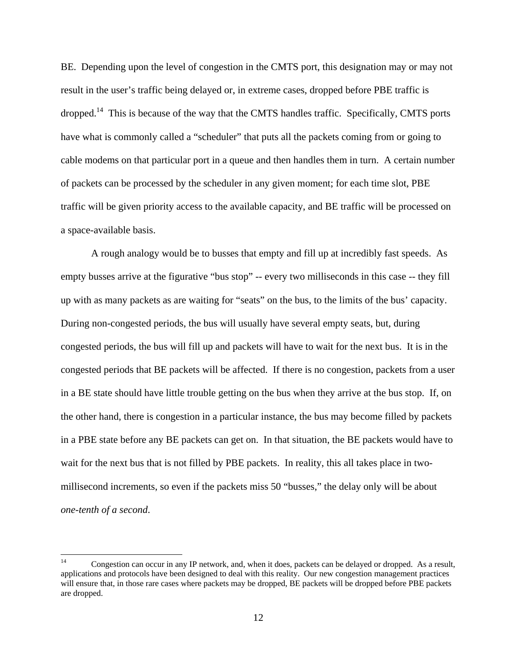BE. Depending upon the level of congestion in the CMTS port, this designation may or may not result in the user's traffic being delayed or, in extreme cases, dropped before PBE traffic is dropped.<sup>14</sup> This is because of the way that the CMTS handles traffic. Specifically, CMTS ports have what is commonly called a "scheduler" that puts all the packets coming from or going to cable modems on that particular port in a queue and then handles them in turn. A certain number of packets can be processed by the scheduler in any given moment; for each time slot, PBE traffic will be given priority access to the available capacity, and BE traffic will be processed on a space-available basis.

A rough analogy would be to busses that empty and fill up at incredibly fast speeds. As empty busses arrive at the figurative "bus stop" -- every two milliseconds in this case -- they fill up with as many packets as are waiting for "seats" on the bus, to the limits of the bus' capacity. During non-congested periods, the bus will usually have several empty seats, but, during congested periods, the bus will fill up and packets will have to wait for the next bus. It is in the congested periods that BE packets will be affected. If there is no congestion, packets from a user in a BE state should have little trouble getting on the bus when they arrive at the bus stop. If, on the other hand, there is congestion in a particular instance, the bus may become filled by packets in a PBE state before any BE packets can get on. In that situation, the BE packets would have to wait for the next bus that is not filled by PBE packets. In reality, this all takes place in twomillisecond increments, so even if the packets miss 50 "busses," the delay only will be about *one-tenth of a second*.

 $14$ Congestion can occur in any IP network, and, when it does, packets can be delayed or dropped. As a result, applications and protocols have been designed to deal with this reality. Our new congestion management practices will ensure that, in those rare cases where packets may be dropped, BE packets will be dropped before PBE packets are dropped.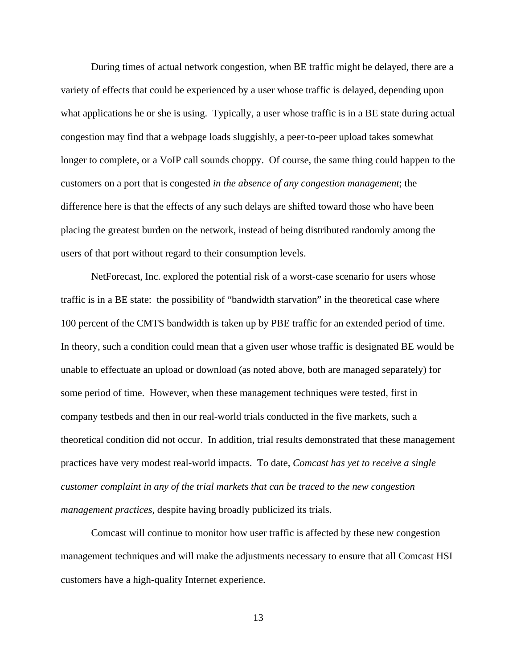During times of actual network congestion, when BE traffic might be delayed, there are a variety of effects that could be experienced by a user whose traffic is delayed, depending upon what applications he or she is using. Typically, a user whose traffic is in a BE state during actual congestion may find that a webpage loads sluggishly, a peer-to-peer upload takes somewhat longer to complete, or a VoIP call sounds choppy. Of course, the same thing could happen to the customers on a port that is congested *in the absence of any congestion management*; the difference here is that the effects of any such delays are shifted toward those who have been placing the greatest burden on the network, instead of being distributed randomly among the users of that port without regard to their consumption levels.

NetForecast, Inc. explored the potential risk of a worst-case scenario for users whose traffic is in a BE state: the possibility of "bandwidth starvation" in the theoretical case where 100 percent of the CMTS bandwidth is taken up by PBE traffic for an extended period of time. In theory, such a condition could mean that a given user whose traffic is designated BE would be unable to effectuate an upload or download (as noted above, both are managed separately) for some period of time. However, when these management techniques were tested, first in company testbeds and then in our real-world trials conducted in the five markets, such a theoretical condition did not occur. In addition, trial results demonstrated that these management practices have very modest real-world impacts. To date, *Comcast has yet to receive a single customer complaint in any of the trial markets that can be traced to the new congestion management practices*, despite having broadly publicized its trials.

Comcast will continue to monitor how user traffic is affected by these new congestion management techniques and will make the adjustments necessary to ensure that all Comcast HSI customers have a high-quality Internet experience.

13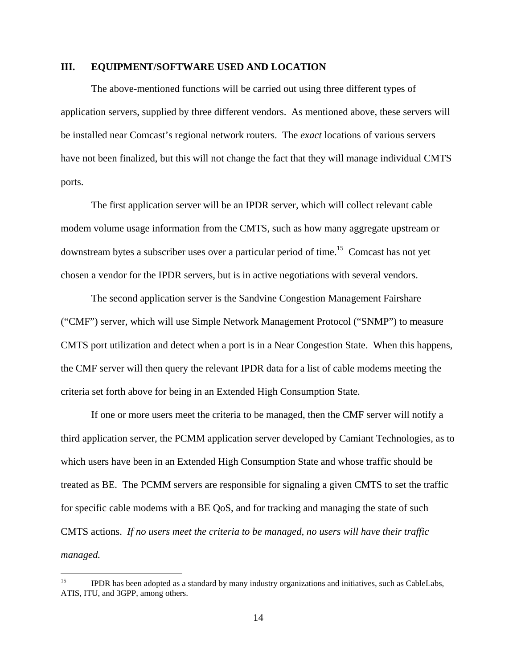#### **III. EQUIPMENT/SOFTWARE USED AND LOCATION**

The above-mentioned functions will be carried out using three different types of application servers, supplied by three different vendors. As mentioned above, these servers will be installed near Comcast's regional network routers. The *exact* locations of various servers have not been finalized, but this will not change the fact that they will manage individual CMTS ports.

The first application server will be an IPDR server, which will collect relevant cable modem volume usage information from the CMTS, such as how many aggregate upstream or downstream bytes a subscriber uses over a particular period of time.<sup>15</sup> Comcast has not yet chosen a vendor for the IPDR servers, but is in active negotiations with several vendors.

The second application server is the Sandvine Congestion Management Fairshare ("CMF") server, which will use Simple Network Management Protocol ("SNMP") to measure CMTS port utilization and detect when a port is in a Near Congestion State. When this happens, the CMF server will then query the relevant IPDR data for a list of cable modems meeting the criteria set forth above for being in an Extended High Consumption State.

If one or more users meet the criteria to be managed, then the CMF server will notify a third application server, the PCMM application server developed by Camiant Technologies, as to which users have been in an Extended High Consumption State and whose traffic should be treated as BE. The PCMM servers are responsible for signaling a given CMTS to set the traffic for specific cable modems with a BE QoS, and for tracking and managing the state of such CMTS actions. *If no users meet the criteria to be managed, no users will have their traffic managed.* 

 $15\,$ 15 IPDR has been adopted as a standard by many industry organizations and initiatives, such as CableLabs, ATIS, ITU, and 3GPP, among others.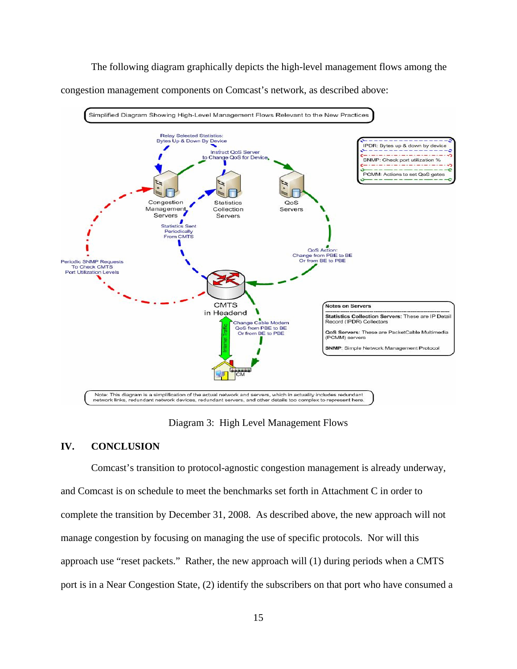The following diagram graphically depicts the high-level management flows among the

congestion management components on Comcast's network, as described above:



Diagram 3: High Level Management Flows

#### **IV. CONCLUSION**

Comcast's transition to protocol-agnostic congestion management is already underway, and Comcast is on schedule to meet the benchmarks set forth in Attachment C in order to complete the transition by December 31, 2008. As described above, the new approach will not manage congestion by focusing on managing the use of specific protocols. Nor will this approach use "reset packets." Rather, the new approach will (1) during periods when a CMTS port is in a Near Congestion State, (2) identify the subscribers on that port who have consumed a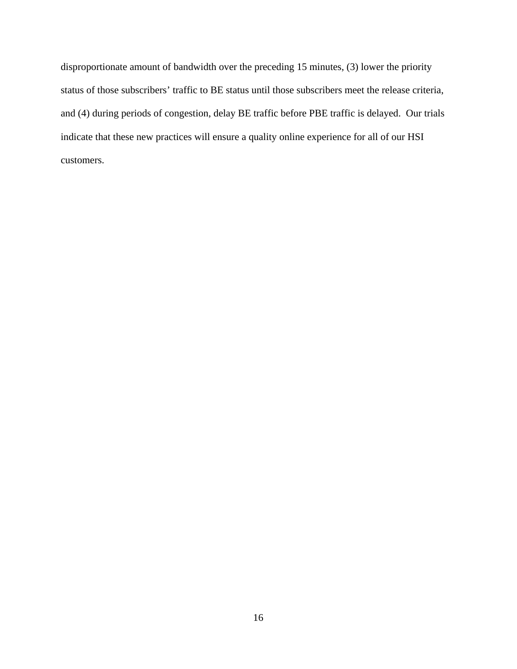disproportionate amount of bandwidth over the preceding 15 minutes, (3) lower the priority status of those subscribers' traffic to BE status until those subscribers meet the release criteria, and (4) during periods of congestion, delay BE traffic before PBE traffic is delayed. Our trials indicate that these new practices will ensure a quality online experience for all of our HSI customers.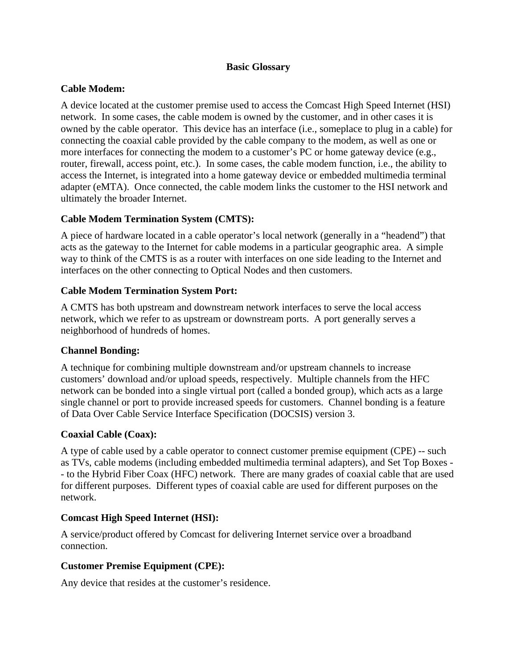## **Basic Glossary**

# **Cable Modem:**

A device located at the customer premise used to access the Comcast High Speed Internet (HSI) network. In some cases, the cable modem is owned by the customer, and in other cases it is owned by the cable operator. This device has an interface (i.e., someplace to plug in a cable) for connecting the coaxial cable provided by the cable company to the modem, as well as one or more interfaces for connecting the modem to a customer's PC or home gateway device (e.g., router, firewall, access point, etc.). In some cases, the cable modem function, i.e., the ability to access the Internet, is integrated into a home gateway device or embedded multimedia terminal adapter (eMTA). Once connected, the cable modem links the customer to the HSI network and ultimately the broader Internet.

# **Cable Modem Termination System (CMTS):**

A piece of hardware located in a cable operator's local network (generally in a "headend") that acts as the gateway to the Internet for cable modems in a particular geographic area. A simple way to think of the CMTS is as a router with interfaces on one side leading to the Internet and interfaces on the other connecting to Optical Nodes and then customers.

## **Cable Modem Termination System Port:**

A CMTS has both upstream and downstream network interfaces to serve the local access network, which we refer to as upstream or downstream ports. A port generally serves a neighborhood of hundreds of homes.

#### **Channel Bonding:**

A technique for combining multiple downstream and/or upstream channels to increase customers' download and/or upload speeds, respectively. Multiple channels from the HFC network can be bonded into a single virtual port (called a bonded group), which acts as a large single channel or port to provide increased speeds for customers. Channel bonding is a feature of Data Over Cable Service Interface Specification (DOCSIS) version 3.

#### **Coaxial Cable (Coax):**

A type of cable used by a cable operator to connect customer premise equipment (CPE) -- such as TVs, cable modems (including embedded multimedia terminal adapters), and Set Top Boxes - - to the Hybrid Fiber Coax (HFC) network. There are many grades of coaxial cable that are used for different purposes. Different types of coaxial cable are used for different purposes on the network.

#### **Comcast High Speed Internet (HSI):**

A service/product offered by Comcast for delivering Internet service over a broadband connection.

#### **Customer Premise Equipment (CPE):**

Any device that resides at the customer's residence.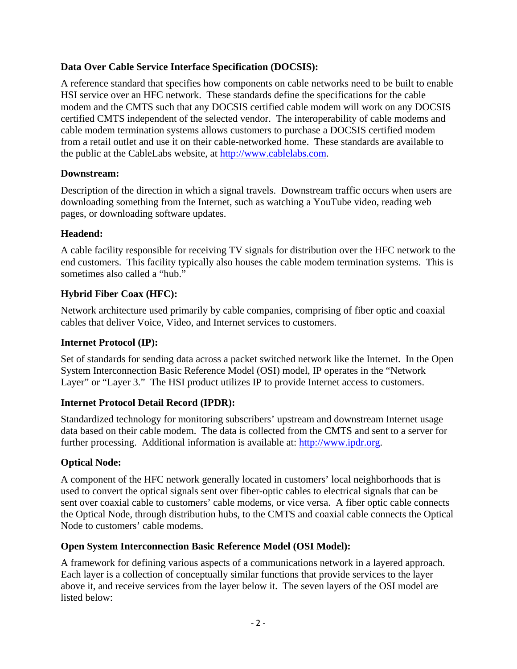# **Data Over Cable Service Interface Specification (DOCSIS):**

A reference standard that specifies how components on cable networks need to be built to enable HSI service over an HFC network. These standards define the specifications for the cable modem and the CMTS such that any DOCSIS certified cable modem will work on any DOCSIS certified CMTS independent of the selected vendor. The interoperability of cable modems and cable modem termination systems allows customers to purchase a DOCSIS certified modem from a retail outlet and use it on their cable-networked home. These standards are available to the public at the CableLabs website, at http://www.cablelabs.com.

# **Downstream:**

Description of the direction in which a signal travels. Downstream traffic occurs when users are downloading something from the Internet, such as watching a YouTube video, reading web pages, or downloading software updates.

# **Headend:**

A cable facility responsible for receiving TV signals for distribution over the HFC network to the end customers. This facility typically also houses the cable modem termination systems. This is sometimes also called a "hub."

# **Hybrid Fiber Coax (HFC):**

Network architecture used primarily by cable companies, comprising of fiber optic and coaxial cables that deliver Voice, Video, and Internet services to customers.

# **Internet Protocol (IP):**

Set of standards for sending data across a packet switched network like the Internet. In the Open System Interconnection Basic Reference Model (OSI) model, IP operates in the "Network Layer" or "Layer 3." The HSI product utilizes IP to provide Internet access to customers.

# **Internet Protocol Detail Record (IPDR):**

Standardized technology for monitoring subscribers' upstream and downstream Internet usage data based on their cable modem. The data is collected from the CMTS and sent to a server for further processing. Additional information is available at: http://www.ipdr.org.

# **Optical Node:**

A component of the HFC network generally located in customers' local neighborhoods that is used to convert the optical signals sent over fiber-optic cables to electrical signals that can be sent over coaxial cable to customers' cable modems, or vice versa. A fiber optic cable connects the Optical Node, through distribution hubs, to the CMTS and coaxial cable connects the Optical Node to customers' cable modems.

# **Open System Interconnection Basic Reference Model (OSI Model):**

A framework for defining various aspects of a communications network in a layered approach. Each layer is a collection of conceptually similar functions that provide services to the layer above it, and receive services from the layer below it. The seven layers of the OSI model are listed below: